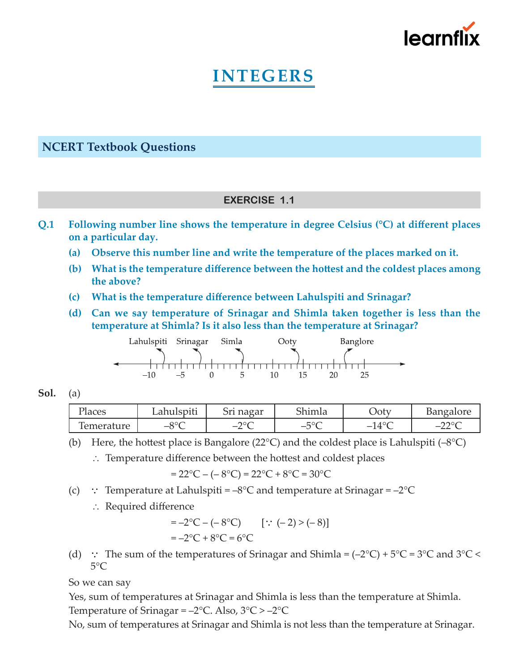

# **INTEGERS**

## **NCERT Textbook Questions**

## **EXERCISE 1.1**

- **Q.1 Following number line shows the temperature in degree Celsius (°C) at different places on a particular day.**
	- **(a) Observe this number line and write the temperature of the places marked on it.**
	- **(b) What is the temperature difference between the hottest and the coldest places among the above?**
	- **(c) What is the temperature difference between Lahulspiti and Srinagar?**
	- **(d) Can we say temperature of Srinagar and Shimla taken together is less than the temperature at Shimla? Is it also less than the temperature at Srinagar?**



#### **Sol.** (a)

| ירד<br>'laces | $\ddot{\phantom{a}}$ .<br>مطبوعه المتعار<br>Lahuispiti | ⌒<br>max<br>Tiazai         | ົາ<br>ำımla                             | $J_0t$                                                       | ∩ra<br>$\sim$<br>71111<br>vai |
|---------------|--------------------------------------------------------|----------------------------|-----------------------------------------|--------------------------------------------------------------|-------------------------------|
| m<br>'ature   | 00 <sub>0</sub><br>$-$<br>$\check{ }$                  | $\sim$<br>∼<br>$\check{~}$ | $E^{\circ}C$<br>— 1<br>◡<br>$\check{~}$ | 10 <sup>o</sup><br>$\perp$<br>$\overline{\phantom{0}}$<br>ᅟᅩ | nnor<br>$-$<br>◡              |

(b) Here, the hottest place is Bangalore (22 $^{\circ}$ C) and the coldest place is Lahulspiti (–8 $^{\circ}$ C)

∴ Temperature difference between the hottest and coldest places

 $= 22^{\circ}\text{C} - (-8^{\circ}\text{C}) = 22^{\circ}\text{C} + 8^{\circ}\text{C} = 30^{\circ}\text{C}$ 

- (c)  $\therefore$  Temperature at Lahulspiti = –8°C and temperature at Srinagar = –2°C
	- ∴ Required difference

$$
= -2^{\circ}C - (-8^{\circ}C) \qquad [\because (-2) > (-8)]
$$
  
= -2^{\circ}C + 8^{\circ}C = 6^{\circ}C

(d) : The sum of the temperatures of Srinagar and Shimla =  $(-2^{\circ}C) + 5^{\circ}C = 3^{\circ}C$  and  $3^{\circ}C <$  $5^{\circ}$ C

 So we can say

 Yes, sum of temperatures at Srinagar and Shimla is less than the temperature at Shimla. Temperature of Srinagar =  $-2$ °C. Also,  $3$ °C >  $-2$ °C

 No, sum of temperatures at Srinagar and Shimla is not less than the temperature at Srinagar.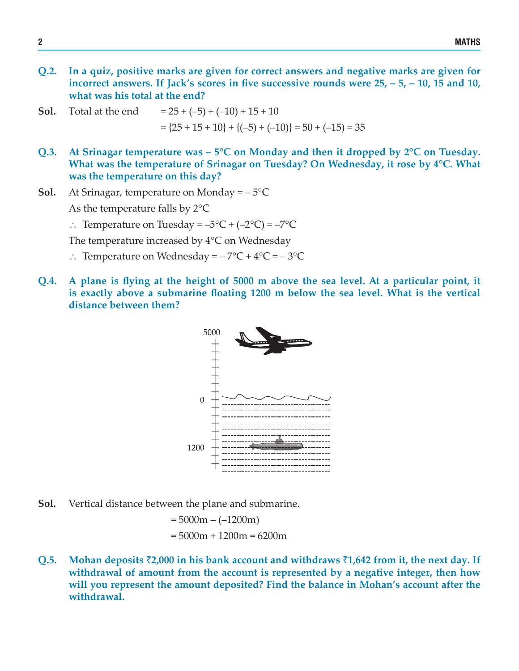- **Q.2. In a quiz, positive marks are given for correct answers and negative marks are given for incorrect answers. If Jack's scores in five successive rounds were 25, – 5, – 10, 15 and 10, what was his total at the end?**
- **Sol.** Total at the end  $= 25 + (-5) + (-10) + 15 + 10$  $=$  {25 + 15 + 10} + {(-5) + (-10)} = 50 + (-15) = 35
- **Q.3. At Srinagar temperature was – 5°C on Monday and then it dropped by 2°C on Tuesday. What was the temperature of Srinagar on Tuesday? On Wednesday, it rose by 4°C. What was the temperature on this day?**
- **Sol.** At Srinagar, temperature on Monday =  $-5^{\circ}C$

 As the temperature falls by 2°C

∴ Temperature on Tuesday = –5°C + (–2°C) = –7°C

 The temperature increased by 4°C on Wednesday

- ∴ Temperature on Wednesday = 7°C + 4°C = 3°C
- Q.4. A plane is flying at the height of 5000 m above the sea level. At a particular point, it **is exactly above a submarine floating 1200 m below the sea level. What is the vertical distance between them?**



**Sol.** Vertical distance between the plane and submarine.

$$
= 5000m - (-1200m)
$$

$$
= 5000m + 1200m = 6200m
$$

**Q.5. Mohan deposits** `**2,000 in his bank account and withdraws** `**1,642 from it, the next day. If withdrawal of amount from the account is represented by a negative integer, then how will you represent the amount deposited? Find the balance in Mohan's account after the withdrawal.**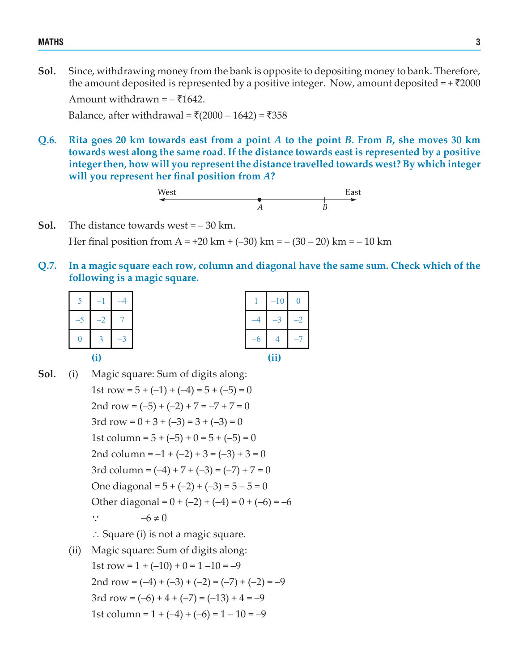#### MATHS 3

**Sol.** Since, withdrawing money from the bank is opposite to depositing money to bank. Therefore, the amount deposited is represented by a positive integer. Now, amount deposited  $= +\overline{\xi}2000$ Amount withdrawn =  $-51642$ .

Balance, after withdrawal =  $\bar{\zeta}(2000 - 1642) = \bar{\zeta}358$ 

**Q.6. Rita goes 20 km towards east from a point** *A* **to the point** *B***. From** *B***, she moves 30 km towards west along the same road. If the distance towards east is represented by a positive integerthen, how will you represent the distance travelled towards west? By which integer will you represent her final position from** *A***?**

- **Sol.** The distance towards west = 30 km. Her final position from A = +20 km + (-30) km =  $-$  (30 – 20) km =  $-$  10 km
- **Q.7. In a magic square each row, column and diagonal have the same sum. Check which of the following is a magic square.**

| $\leq$<br>i. |        |                |  | $-10$               |
|--------------|--------|----------------|--|---------------------|
| $-5$         | $\sim$ | $\overline{ }$ |  | $\mathcal{L}$<br>-9 |
| $\theta$     |        | $-3$           |  |                     |
|              |        |                |  | (ii)                |

|  | 10 | 0 |  |  |  |
|--|----|---|--|--|--|
|  |    | 2 |  |  |  |
|  | 4  |   |  |  |  |
|  |    |   |  |  |  |

**Sol.** (i) Magic square: Sum of digits along: 1st row =  $5 + (-1) + (-4) = 5 + (-5) = 0$ 2nd row =  $(-5) + (-2) + 7 = -7 + 7 = 0$ 3rd row =  $0 + 3 + (-3) = 3 + (-3) = 0$ 1st column =  $5 + (-5) + 0 = 5 + (-5) = 0$ 2nd column =  $-1 + (-2) + 3 = (-3) + 3 = 0$ 3rd column =  $(-4) + 7 + (-3) = (-7) + 7 = 0$ One diagonal =  $5 + (-2) + (-3) = 5 - 5 = 0$ Other diagonal =  $0 + (-2) + (-4) = 0 + (-6) = -6$  $\therefore$   $-6 \neq 0$  ∴ Square (i) is not a magic square. (ii) Magic square: Sum of digits along: 1st row =  $1 + (-10) + 0 = 1 -10 = -9$ 2nd row =  $(-4) + (-3) + (-2) = (-7) + (-2) = -9$ 3rd row =  $(-6) + 4 + (-7) = (-13) + 4 = -9$ 1st column =  $1 + (-4) + (-6) = 1 - 10 = -9$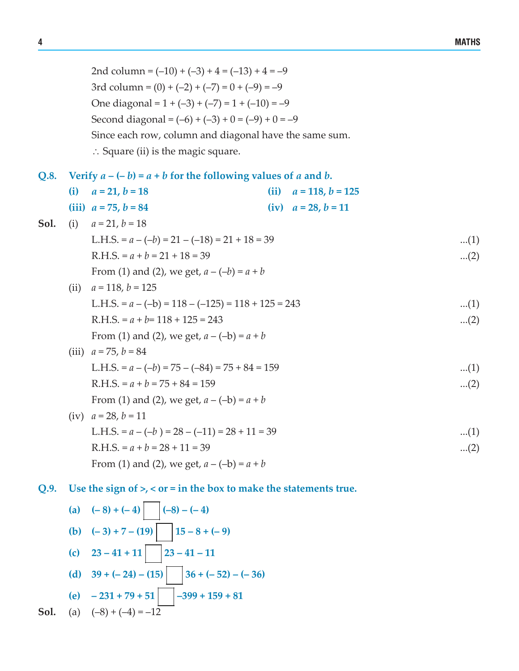2nd column =  $(-10) + (-3) + 4 = (-13) + 4 = -9$ 3rd column =  $(0) + (-2) + (-7) = 0 + (-9) = -9$ One diagonal =  $1 + (-3) + (-7) = 1 + (-10) = -9$ Second diagonal =  $(-6) + (-3) + 0 = (-9) + 0 = -9$  Since each row, column and diagonal have the same sum. ∴ Square (ii) is the magic square.

| Q.8. Verify $a - (-b) = a + b$ for the following values of a and b. |  |
|---------------------------------------------------------------------|--|
|                                                                     |  |

|      | (i)  | $a = 21, b = 18$                                     | (ii) | $a = 118$ , $b = 125$    |       |
|------|------|------------------------------------------------------|------|--------------------------|-------|
|      |      | (iii) $a = 75$ , $b = 84$                            |      | (iv) $a = 28$ , $b = 11$ |       |
| Sol. |      | (i) $a = 21$ , $b = 18$                              |      |                          |       |
|      |      | L.H.S. = $a - (-b) = 21 - (-18) = 21 + 18 = 39$      |      |                          | (1)   |
|      |      | $R.H.S. = a + b = 21 + 18 = 39$                      |      |                          | $(2)$ |
|      |      | From (1) and (2), we get, $a - (-b) = a + b$         |      |                          |       |
|      | (ii) | $a = 118$ , $b = 125$                                |      |                          |       |
|      |      | L.H.S. = $a - (-b) = 118 - (-125) = 118 + 125 = 243$ |      |                          | (1)   |
|      |      | $R.H.S. = a + b = 118 + 125 = 243$                   |      |                          | $(2)$ |
|      |      | From (1) and (2), we get, $a - (-b) = a + b$         |      |                          |       |
|      |      | (iii) $a = 75$ , $b = 84$                            |      |                          |       |
|      |      | L.H.S. = $a - (-b) = 75 - (-84) = 75 + 84 = 159$     |      |                          | (1)   |
|      |      | $R.H.S. = a + b = 75 + 84 = 159$                     |      |                          | $(2)$ |
|      |      | From (1) and (2), we get, $a - (-b) = a + b$         |      |                          |       |
|      | (iv) | $a = 28$ , $b = 11$                                  |      |                          |       |
|      |      | L.H.S. = $a - (-b) = 28 - (-11) = 28 + 11 = 39$      |      |                          | (1)   |
|      |      | $R.H.S. = a + b = 28 + 11 = 39$                      |      |                          | $(2)$ |
|      |      | From (1) and (2), we get, $a - (-b) = a + b$         |      |                          |       |

**Q.9. Use the sign of >, < or = in the box to make the statements true.**

(a) 
$$
(-8) + (-4)
$$
  $(-8) - (-4)$   
\n(b)  $(-3) + 7 - (19)$   $15 - 8 + (-9)$   
\n(c)  $23 - 41 + 11$   $23 - 41 - 11$   
\n(d)  $39 + (-24) - (15)$   $36 + (-52) - (-36)$   
\n(e)  $-231 + 79 + 51$   $-399 + 159 + 81$ 

**Sol.** (a) 
$$
(-8) + (-4) = -12
$$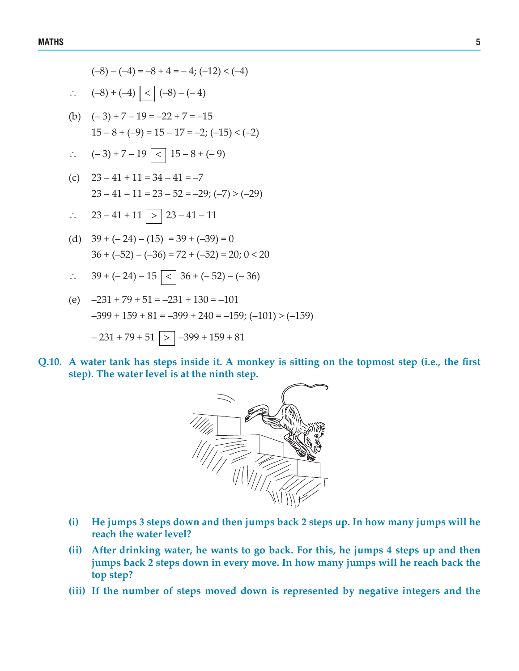$$
(-8) - (-4) = -8 + 4 = -4; (-12) < (-4)
$$
  
\n
$$
\therefore (-8) + (-4) \le |(-8) - (-4)|
$$
  
\n(b) 
$$
(-3) + 7 - 19 = -22 + 7 = -15
$$

 $15 - 8 + (-9) = 15 - 17 = -2$ ;  $(-15) < (-2)$ 

$$
\therefore (-3) + 7 - 19 \leq 15 - 8 + (-9)
$$

- (c)  $23 41 + 11 = 34 41 = -7$  $23 - 41 - 11 = 23 - 52 = -29$ ; (-7) > (-29)
- ∴ 23 41 + 11 > 23 41 11
- (d)  $39 + (-24) (15) = 39 + (-39) = 0$  $36 + (-52) - (-36) = 72 + (-52) = 20$ ;  $0 < 20$
- ∴  $39 + (-24) 15 \le |36 + (-52) (-36)$
- (e)  $-231 + 79 + 51 = -231 + 130 = -101$  $-399 + 159 + 81 = -399 + 240 = -159$ ;  $(-101) > (-159)$  $-231 + 79 + 51$   $\boxed{>}$   $-399 + 159 + 81$
- **Q.10. A water tank has steps inside it. A monkey is sitting on the topmost step (i.e., the first step). The water level is at the ninth step.**



- **(i) He jumps 3 steps down and then jumps back 2 steps up. In how many jumps will he reach the water level?**
- **(ii) After drinking water, he wants to go back. For this, he jumps 4 steps up and then jumps back 2 steps down in every move. In how many jumps will he reach back the top step?**
- **(iii) If the number of steps moved down is represented by negative integers and the**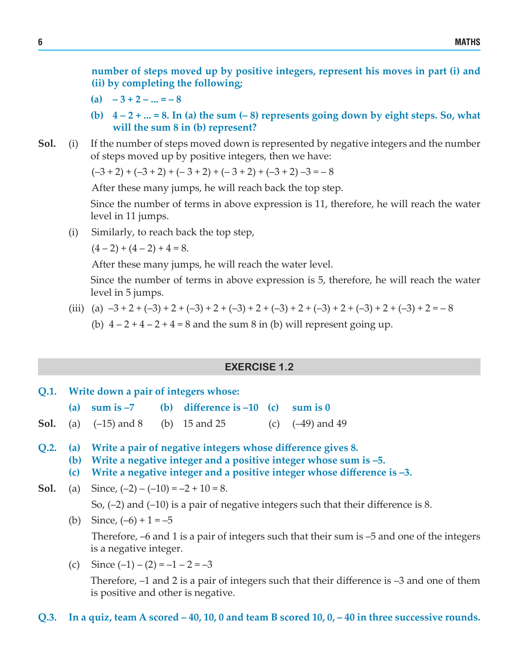**number of steps moved up by positive integers, represent his moves in part (i) and (ii) by completing the following;**

- $(a)$  3 + 2 ... = 8
- (b)  $4-2+...=8$ . In (a) the sum  $(-8)$  represents going down by eight steps. So, what **will the sum 8 in (b) represent?**
- **Sol.** (i) If the number of steps moved down is represented by negative integers and the number of steps moved up by positive integers, then we have:

 $(-3 + 2) + (-3 + 2) + (-3 + 2) + (-3 + 2) + (-3 + 2) + (-3 + 2) - 3 = -8$ 

 After these many jumps, he will reach back the top step.

 Since the number of terms in above expression is 11, therefore, he will reach the water level in 11 jumps.

 (i) Similarly, to reach back the top step,

 $(4-2) + (4-2) + 4 = 8.$ 

 After these many jumps, he will reach the water level.

 Since the number of terms in above expression is 5, therefore, he will reach the water level in 5 jumps.

- (iii) (a)  $-3 + 2 + (-3) + 2 + (-3) + 2 + (-3) + 2 + (-3) + 2 + (-3) + 2 + (-3) + 2 + (-3) + 2 = -8$ 
	- (b)  $4 2 + 4 2 + 4 = 8$  and the sum 8 in (b) will represent going up.

#### **EXERCISE 1.2**

|      | Q.1. Write down a pair of integers whose: |                                           |  |                                                                 |  |                                                                                                                                                    |  |
|------|-------------------------------------------|-------------------------------------------|--|-----------------------------------------------------------------|--|----------------------------------------------------------------------------------------------------------------------------------------------------|--|
|      | (a)                                       |                                           |  | sum is $-7$ (b) difference is $-10$ (c) sum is 0                |  |                                                                                                                                                    |  |
|      |                                           |                                           |  | <b>Sol.</b> (a) $(-15)$ and 8 (b) 15 and 25 (c) $(-49)$ and 49  |  |                                                                                                                                                    |  |
| O.2. | (c)                                       |                                           |  | (a) Write a pair of negative integers whose difference gives 8. |  | (b) Write a negative integer and a positive integer whose sum is $-5$ .<br>Write a negative integer and a positive integer whose difference is -3. |  |
| Sol. |                                           | (a) Since, $(-2) - (-10) = -2 + 10 = 8$ . |  |                                                                 |  |                                                                                                                                                    |  |
|      |                                           |                                           |  |                                                                 |  | So, $(-2)$ and $(-10)$ is a pair of negative integers such that their difference is 8.                                                             |  |
|      | (b)                                       | Since, $(-6) + 1 = -5$                    |  |                                                                 |  |                                                                                                                                                    |  |
|      |                                           | is a negative integer.                    |  |                                                                 |  | Therefore, $-6$ and 1 is a pair of integers such that their sum is $-5$ and one of the integers                                                    |  |

(c) Since  $(-1) - (2) = -1 - 2 = -3$ 

 Therefore, –1 and 2 is a pair of integers such that their difference is –3 and one of them is positive and other is negative.

Q.3. In a quiz, team A scored – 40, 10, 0 and team B scored 10,  $0, -40$  in three successive rounds.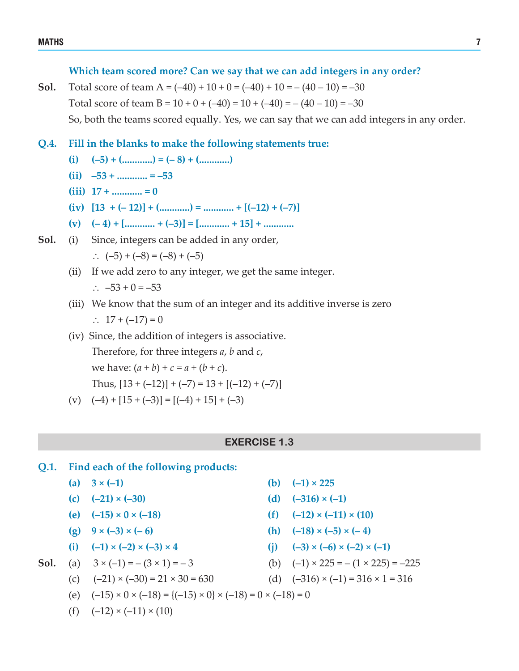#### **Which team scored more? Can we say that we can add integers in any order?**

**Sol.** Total score of team  $A = (-40) + 10 + 0 = (-40) + 10 = -(40 - 10) = -30$ Total score of team  $B = 10 + 0 + (-40) = 10 + (-40) = -(40 - 10) = -30$  So, both the teams scored equally. Yes, we can say that we can add integers in any order.

- **Q.4. Fill in the blanks to make the following statements true:**
	- $(i) \quad (-5) + ($ .............) = (– 8) + (.............)
	- $(iii)$  –53 **+**  $...$   $=-53$
	- $(iii)$   $17 +$  **............**  $= 0$
	- **(iv) [13 + (– 12)] + (............) = ............ + [(–12) + (–7)]**
	- $(v)$   $(-4)$  **+**  $[\dots \dots \dots \dots + (-3)]$  =  $[\dots \dots \dots \dots + 15]$  +  $\dots \dots \dots$
- **Sol.** (i) Since, integers can be added in any order, ∴  $(-5) + (-8) = (-8) + (-5)$ 
	- (ii) If we add zero to any integer, we get the same integer. ∴  $-53 + 0 = -53$
	- (iii) We know that the sum of an integer and its additive inverse is zero ∴  $17 + (-17) = 0$
	- (iv) Since, the addition of integers is associative. Therefore, for three integers *a*, *b* and *c*, we have:  $(a + b) + c = a + (b + c)$ . Thus,  $[13 + (-12)] + (-7) = 13 + [(-12) + (-7)]$
	- (v)  $(-4) + [15 + (-3)] = [(-4) + 15] + (-3)$

#### **EXERCISE 1.3**

- **Q.1. Find each of the following products:**
	-
	-
	-
	-
	-
- - (c)  $(-21) \times (-30) = 21 \times 30 = 630$  (d)  $(-316) \times (-1) = 316 \times 1 = 316$
	- (e)  $(-15) \times 0 \times (-18) = {(-15) \times 0} \times (-18) = 0 \times (-18) = 0$
	- (f)  $(-12) \times (-11) \times (10)$
- **(a)**  $3 \times (-1)$  **(b)**  $(-1) \times 225$
- **(c)**  $(-21) \times (-30)$  **(d)**  $(-316) \times (-1)$
- **(e)**  $(-15) \times 0 \times (-18)$  **(f)**  $(-12) \times (-11) \times (10)$
- **(g)**  $9 \times (-3) \times (-6)$  **(h)**  $(-18) \times (-5) \times (-4)$
- **(i)**  $(-3) \times (-2) \times (-3) \times 4$  **(i)**  $(-3) \times (-6) \times (-2) \times (-1)$
- **Sol.** (a)  $3 \times (-1) = -(3 \times 1) = -3$  (b)  $(-1) \times 225 = -(1 \times 225) = -225$ 
	-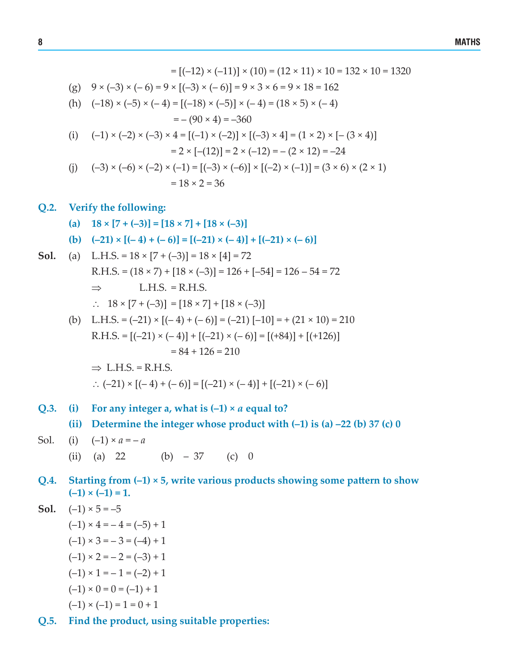$$
= [(-12) \times (-11)] \times (10) = (12 \times 11) \times 10 = 132 \times 10 = 1320
$$
  
(g)  $9 \times (-3) \times (-6) = 9 \times [(-3) \times (-6)] = 9 \times 3 \times 6 = 9 \times 18 = 162$   
(h)  $(-18) \times (-5) \times (-4) = [(-18) \times (-5)] \times (-4) = (18 \times 5) \times (-4)$   
 $= -(90 \times 4) = -360$   
(i)  $(-1) \times (-2) \times (-3) \times 4 = [(-1) \times (-2)] \times [(-3) \times 4] = (1 \times 2) \times [- (3 \times 4)]$   
 $= 2 \times [-(12)] = 2 \times (-12) = -(2 \times 12) = -24$   
(j)  $(-3) \times (-6) \times (-2) \times (-1) = [(-3) \times (-6)] \times [(-2) \times (-1)] = (3 \times 6) \times (2 \times 1)$   
 $= 18 \times 2 = 36$ 

## **Q.2. Verify the following:**

- $\begin{bmatrix} (a) & 18 \times [7 + (-3)] = [18 \times 7] + [18 \times (-3)] \end{bmatrix}$
- **(b)**  $(-21) \times [(-4) + (-6)] = [(-21) \times (-4)] + [(-21) \times (-6)]$
- **Sol.** (a) L.H.S. =  $18 \times [7 + (-3)] = 18 \times [4] = 72$ R.H.S. =  $(18 \times 7)$  +  $[18 \times (-3)]$  =  $126$  +  $[-54]$  =  $126 - 54$  = 72  $\Rightarrow$  L.H.S. = R.H.S. ∴  $18 \times [7 + (-3)] = [18 \times 7] + [18 \times (-3)]$ (b) L.H.S. =  $(-21) \times [(-4) + (-6)] = (-21) [-10] = +(21 \times 10) = 210$ 
	- $R.H.S. = [(-21) \times (-4)] + [(-21) \times (-6)] = [(+84)] + [(+126)]$  $= 84 + 126 = 210$

 $\Rightarrow$  L.H.S. = R.H.S. ∴  $(-21) \times [(-4) + (-6)] = [(-21) \times (-4)] + [(-21) \times (-6)]$ 

- **Q.3. (i) For any integer a, what is (–1) ×** *a* **equal to?**
	- **(ii) Determine the integer whose product with (–1) is (a) –22 (b) 37 (c) 0**
- Sol. (i)  $(-1) \times a = -a$ 
	- (ii) (a) 22 (b)  $-37$  (c) 0
- **Q.4. Starting from (–1) × 5, write various products showing some pattern to show**  $(-1) \times (-1) = 1.$

**Sol.** 
$$
(-1) \times 5 = -5
$$

$$
(-1) \times 4 = -4 = (-5) + 1
$$
  
\n
$$
(-1) \times 3 = -3 = (-4) + 1
$$
  
\n
$$
(-1) \times 2 = -2 = (-3) + 1
$$
  
\n
$$
(-1) \times 1 = -1 = (-2) + 1
$$
  
\n
$$
(-1) \times 0 = 0 = (-1) + 1
$$
  
\n
$$
(-1) \times (-1) = 1 = 0 + 1
$$

**Q.5. Find the product, using suitable properties:**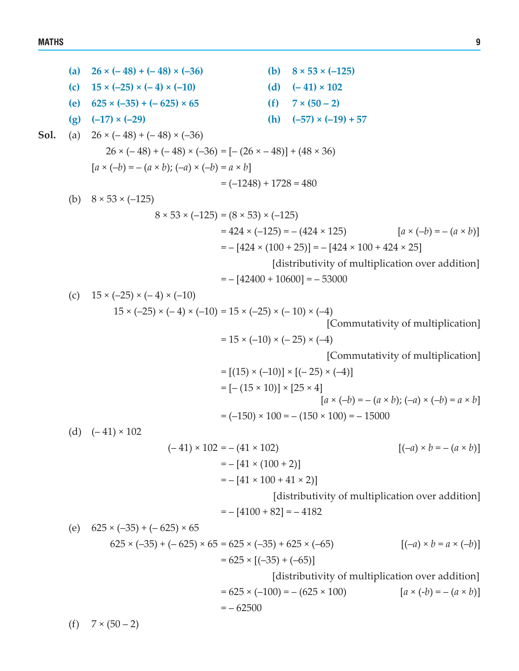(a) 
$$
26 \times (-48) + (-48) \times (-36)
$$
  
\n(b)  $8 \times 53 \times (-125)$   
\n(c)  $15 \times (-25) \times (-4) \times (-10)$   
\n(d)  $(-41) \times 102$   
\n(e)  $625 \times (-35) + (-625) \times 65$   
\n(e)  $41 \times 102$   
\n15x (-25) + (-6x) + (-48) + (-36) = 6  
\n $26 \times (-48) + (-48) \times (-36) = [-(26 \times -48)] + (48 \times 36)$   
\n $[a \times (-b) = -(a \times b); (-a) \times (-b) = a \times b]$   
\n $= (-1248) + 1728 = 480$   
\n(b)  $8 \times 53 \times (-125)$   
\n $= 424 \times (-125) = -(424 \times 125)$   
\n $= 424 \times (100 + 25)] = -(424 \times 125)$   
\n $= -[424 \times 100 + 424 \times 25]$   
\n $= -[424 \times 100 + 10600] = -53000$   
\n(c)  $15 \times (-25) \times (-4) \times (-10)$   
\n $15 \times (-25) \times (-4) \times (-10) = 15 \times (-25) \times (-10) \times (-4)$   
\n[Commutativity of multiplication over addition]  
\n $= 15 \times (-10) \times (-25) \times (-4)$   
\n[Commutativity of multiplication]  
\n $= [(-15 \times 10)] \times [(-25) \times (-4)]$   
\n $= [-(15 \times 10)] \times [(-25) \times (-4)]$   
\n $= [-(15 \times 10)] \times [(-25) \times (-4)]$   
\n $= [-(15 \times 10)] \times [25 \times 4]$   
\n $[25 \times (-4) \times (-b) = a \times b]$   
\n $= (-150) \times 100 = -(150 \times 100) = -15000$   
\n(d)  $(-41)$ 

(f)  $7 \times (50 - 2)$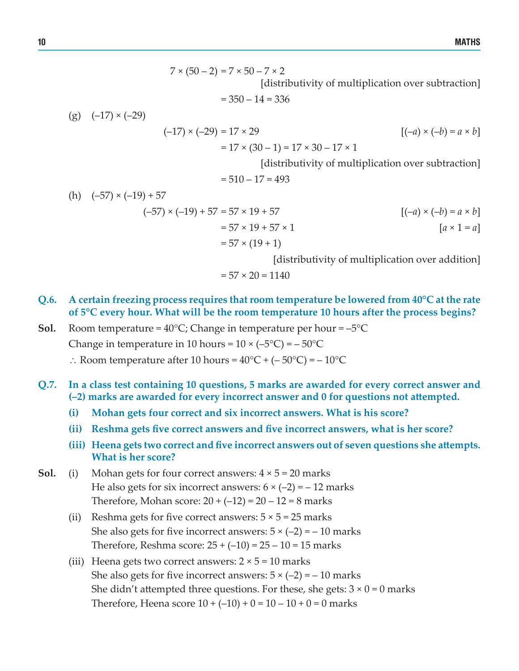$7 \times (50 - 2) = 7 \times 50 - 7 \times 2$  [distributivity of multiplication over subtraction]

 $= 350 - 14 = 336$ 

 $(g)$   $(-17) \times (-29)$  $(-17) \times (-29) = 17 \times 29$   $[(-a) \times (-b) = a \times b]$  $= 17 \times (30 - 1) = 17 \times 30 - 17 \times 1$ 

 [distributivity of multiplication over subtraction]

$$
= 510 - 17 = 493
$$

(h)  $(-57) \times (-19) + 57$  $(-57) \times (-19) + 57 = 57 \times 19 + 57$   $[(-a) \times (-b) = a \times b]$  $= 57 \times 19 + 57 \times 1$   $[a \times 1 = a]$  $= 57 \times (19 + 1)$ 

 [distributivity of multiplication over addition]

$$
= 57 \times 20 = 1140
$$

- **Q.6. A certain freezing process requires that room temperature be lowered from 40°C at the rate of 5°C every hour. What will be the room temperature 10 hours after the process begins?**
- **Sol.** Room temperature =  $40^{\circ}$ C; Change in temperature per hour =  $-5^{\circ}$ C Change in temperature in 10 hours =  $10 \times (-5^{\circ}\text{C}) = -50^{\circ}\text{C}$ ∴ Room temperature after 10 hours =  $40^{\circ}C + (-50^{\circ}C) = -10^{\circ}C$
- **Q.7. In a class test containing 10 questions, 5 marks are awarded for every correct answer and (–2) marks are awarded for every incorrect answer and 0 for questions not attempted.**
	- **(i) Mohan gets four correct and six incorrect answers. What is his score?**
	- **(ii) Reshma gets five correct answers and five incorrect answers, what is her score?**
	- **(iii) Heena gets two correct and five incorrect answers out of seven questions she attempts. What is her score?**
- **Sol.** (i) Mohan gets for four correct answers:  $4 \times 5 = 20$  marks He also gets for six incorrect answers:  $6 \times (-2) = -12$  marks Therefore, Mohan score:  $20 + (-12) = 20 - 12 = 8$  marks
	- (ii) Reshma gets for five correct answers:  $5 \times 5 = 25$  marks She also gets for five incorrect answers:  $5 \times (-2) = -10$  marks Therefore, Reshma score:  $25 + (-10) = 25 - 10 = 15$  marks
	- (iii) Heena gets two correct answers:  $2 \times 5 = 10$  marks She also gets for five incorrect answers:  $5 \times (-2) = -10$  marks She didn't attempted three questions. For these, she gets:  $3 \times 0 = 0$  marks Therefore, Heena score  $10 + (-10) + 0 = 10 - 10 + 0 = 0$  marks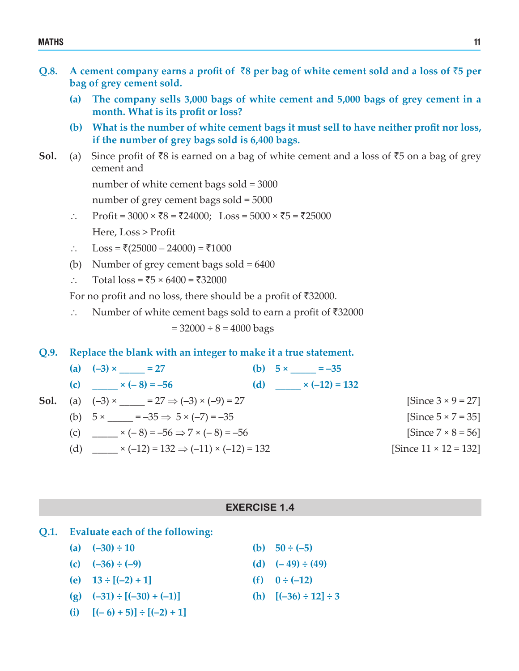- Q.8. A cement company earns a profit of  $\bar{z}8$  per bag of white cement sold and a loss of  $\bar{z}5$  per **bag of grey cement sold.**
	- **(a) The company sells 3,000 bags of white cement and 5,000 bags of grey cement in a month. What is its profit or loss?**
	- **(b) What is the number of white cement bags it must sell to have neither profit nor loss, if the number of grey bags sold is 6,400 bags.**
- **Sol.** (a) Since profit of  $\bar{x}8$  is earned on a bag of white cement and a loss of  $\bar{x}5$  on a bag of grey cement and

 number of white cement bags sold = 3000

 number of grey cement bags sold = 5000

- ∴ Profit = 3000 × ₹8 = ₹24000; Loss =  $5000 \times \overline{5} = \overline{525000}$  Here, Loss > Profit
- ∴ Loss =  $\bar{\mathfrak{e}}$ (25000 24000) =  $\bar{\mathfrak{e}}$ 1000
- (b) Number of grey cement bags sold = 6400
- ∴ Total loss =  $\overline{5} \times 6400 = 732000$

For no profit and no loss, there should be a profit of  $\overline{5}32000$ .

∴ Number of white cement bags sold to earn a profit of ₹32000

 $= 32000 \div 8 = 4000 \text{ bags}$ 

**Q.9. Replace the blank with an integer to make it a true statement.**

|  | (a) $(-3) \times$ $27 = 27$                                            | (b) $5 \times \_ \_ \_ \_ \_ \_ \_ \_ \_ \_ \_$ |                               |
|--|------------------------------------------------------------------------|-------------------------------------------------|-------------------------------|
|  | (c) $\times (-8) = -56$                                                | (d) $\times (-12) = 132$                        |                               |
|  | <b>Sol.</b> (a) $(-3) \times 2 = 27 \Rightarrow (-3) \times (-9) = 27$ |                                                 | [Since $3 \times 9 = 27$ ]    |
|  | (b) $5 \times \_ \_ = -35 \Rightarrow 5 \times (-7) = -35$             |                                                 | [Since $5 \times 7 = 35$ ]    |
|  | (c) $\times (-8) = -56 \Rightarrow 7 \times (-8) = -56$                |                                                 | [Since $7 \times 8 = 56$ ]    |
|  | (d) $\_\_\_\_$ × (-12) = 132 $\Rightarrow$ (-11) × (-12) = 132         |                                                 | [Since $11 \times 12 = 132$ ] |

## **EXERCISE 1.4**

| Q.1. | <b>Evaluate each of the following:</b> |  |  |
|------|----------------------------------------|--|--|
|      |                                        |  |  |

- **(a)**  $(-30) \div 10$  **(b)**  $50 \div (-5)$
- **(c)**  $(-36) \div (-9)$  **(d)**  $(-49) \div (49)$
- **(e)**  $13 \div [(-2) + 1]$  **(f)**  $0 \div (-12)$
- **(g)**  $(-31) \div [(-30) + (-1)]$  <br>**(h)**  $[(-36) \div 12] \div 3$
- $[(i)$   $[(-6) + 5]$   $\div$   $[(-2) + 1]$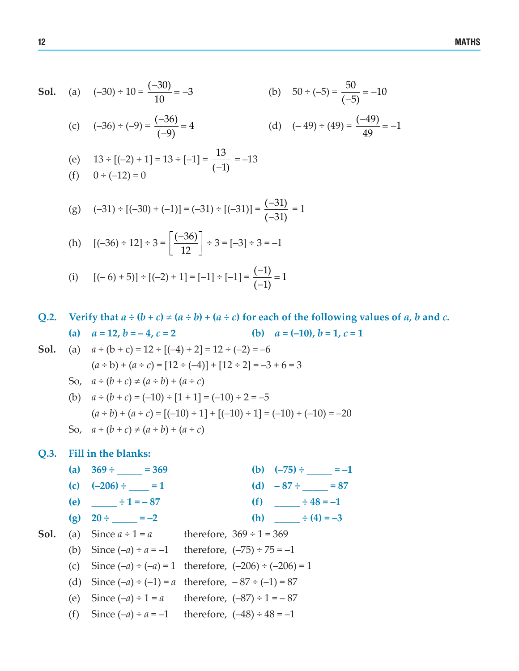**Sol.**

\n(a) 
$$
(-30) \div 10 = \frac{(-30)}{10} = -3
$$

\n(b)  $50 \div (-5) = \frac{50}{(-5)} = -10$ 

\n(c)  $(-36) \div (-9) = \frac{(-36)}{(-9)} = 4$ 

\n(d)  $(-49) \div (49) = \frac{(-49)}{49} = -1$ 

(e) 
$$
13 \div [(-2) + 1] = 13 \div [-1] = \frac{13}{(-1)} = -13
$$
  
(f)  $0 \div (-12) = 0$ 

(g) 
$$
(-31) \div [(-30) + (-1)] = (-31) \div [(-31)] = \frac{(-31)}{(-31)} = 1
$$

(h) 
$$
[(-36) \div 12] \div 3 = \left[\frac{(-36)}{12}\right] \div 3 = [-3] \div 3 = -1
$$

(i) 
$$
[(-6) + 5] \div [(-2) + 1] = [-1] \div [-1] = \frac{(-1)}{(-1)} = 1
$$

Q.2. Verify that  $a \div (b + c) \div (a \div b) + (a \div c)$  for each of the following values of a, b and c.

(a) 
$$
a = 12, b = -4, c = 2
$$
   
 (b)  $a = (-10), b = 1, c = 1$ 

**Sol.** (a)  $a \div (b + c) = 12 \div [(-4) + 2] = 12 \div (-2) = -6$ 

$$
(a \div b) + (a \div c) = [12 \div (-4)] + [12 \div 2] = -3 + 6 = 3
$$
  
So,  $a \div (b + c) \neq (a \div b) + (a \div c)$ 

(b) 
$$
a \div (b + c) = (-10) \div [1 + 1] = (-10) \div 2 = -5
$$
  
\n $(a \div b) + (a \div c) = [(-10) \div 1] + [(-10) \div 1] = (-10) + (-10) = -20$   
\nSo,  $a \div (b + c) \neq (a \div b) + (a \div c)$ 

#### **Q.3. Fill in the blanks:**

**(a)**  $369 \div \underline{\hspace{1cm}} = 369$  **(b)**  $(-75) \div \underline{\hspace{1cm}} = -1$ **(c)**  $(-206) \div \_ =1$  **(d)**  $-87 \div \_ =87$ **(e)**  $\qquad \div 1 = -87$  **(f)**  $\qquad \div 48 = -1$ **(g)**  $20 \div \underline{\hspace{1cm}} = -2$  **(h)**  $\div (4) = -3$ 

**Sol.** (a) Since 
$$
a \div 1 = a
$$
 therefore,  $369 \div 1 = 369$ 

(b) Since 
$$
(-a) \div a = -1
$$
 therefore,  $(-75) \div 75 = -1$ 

- (c) Since  $(-a) \div (-a) = 1$  therefore,  $(-206) \div (-206) = 1$
- (d) Since  $(-a) \div (-1) = a$  therefore,  $-87 \div (-1) = 87$
- (e) Since  $(-a) \div 1 = a$  therefore,  $(-87) \div 1 = -87$
- (f) Since  $(-a) \div a = -1$  therefore,  $(-48) \div 48 = -1$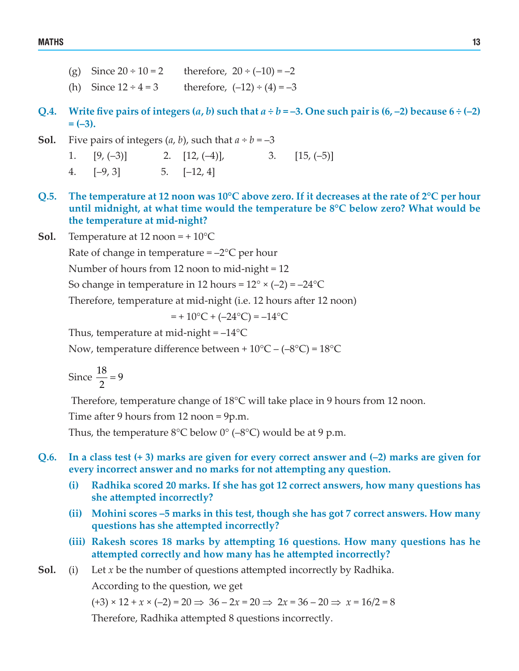- (g) Since  $20 \div 10 = 2$  therefore,  $20 \div (-10) = -2$
- (h) Since  $12 \div 4 = 3$  therefore,  $(-12) \div (4) = -3$
- Q.4. Write five pairs of integers  $(a, b)$  such that  $a \div b = -3$ . One such pair is  $(6, -2)$  because  $6 \div (-2)$ **= (–3).**
- **Sol.** Five pairs of integers  $(a, b)$ , such that  $a \div b = -3$ 
	- 1.  $[9, (-3)]$  2.  $[12, (-4)]$ , 3.  $[15, (-5)]$
	- 4.  $[-9, 3]$  5.  $[-12, 4]$
- Q.5. The temperature at 12 noon was 10°C above zero. If it decreases at the rate of 2°C per hour **until midnight, at what time would the temperature be 8°C below zero? What would be the temperature at mid-night?**
- **Sol.** Temperature at 12 noon =  $+10^{\circ}$ C

Rate of change in temperature  $=-2^{\circ}C$  per hour

 Number of hours from 12 noon to mid-night = 12

So change in temperature in 12 hours =  $12^{\circ} \times (-2) = -24^{\circ}C$ 

 Therefore, temperature at mid-night (i.e. 12 hours after 12 noon)

$$
= +10^{\circ}\text{C} + (-24^{\circ}\text{C}) = -14^{\circ}\text{C}
$$

Thus, temperature at mid-night  $= -14$ <sup>o</sup>C

Now, temperature difference between +  $10^{\circ}C - (-8^{\circ}C) = 18^{\circ}C$ 

Since 
$$
\frac{18}{2} = 9
$$

Therefore, temperature change of 18°C will take place in 9 hours from 12 noon.

 Time after 9 hours from 12 noon = 9p.m.

Thus, the temperature  $8^{\circ}$ C below  $0^{\circ}$  (-8°C) would be at 9 p.m.

- Q.6. In a class test  $(+3)$  marks are given for every correct answer and  $(-2)$  marks are given for **every incorrect answer and no marks for not attempting any question.**
	- **(i) Radhika scored 20 marks. If she has got 12 correct answers, how many questions has she attempted incorrectly?**
	- **(ii) Mohini scores –5 marks in this test, though she has got 7 correct answers. How many questions has she attempted incorrectly?**
	- **(iii) Rakesh scores 18 marks by attempting 16 questions. How many questions has he attempted correctly and how many has he attempted incorrectly?**

#### **Sol.** (i) Let *x* be the number of questions attempted incorrectly by Radhika.

 According to the question, we get

 $(+3) \times 12 + x \times (-2) = 20 \implies 36 - 2x = 20 \implies 2x = 36 - 20 \implies x = 16/2 = 8$ 

 Therefore, Radhika attempted 8 questions incorrectly.